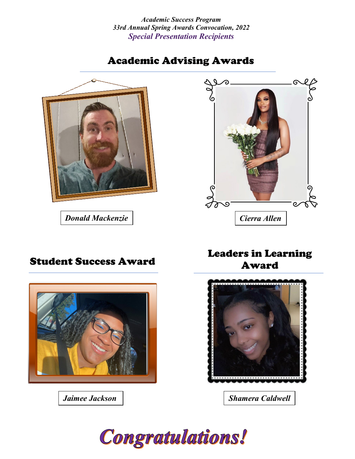*Academic Success Program 33rd Annual Spring Awards Convocation, 2022 Special Presentation Recipients*

# Academic Advising Awards







*Jaimee Jackson*

# Student Success Award Leaders in Learning Award



*Shamera Caldwell*

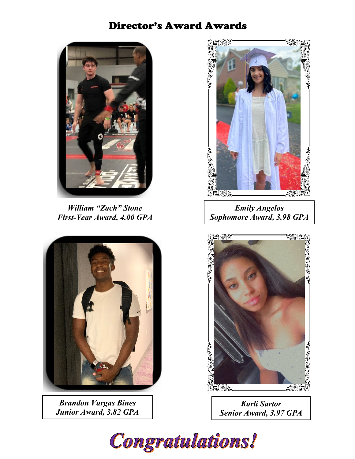# Director's Award Awards



*William "Zach" Stone First-Year Award, 4.00 GPA*



*Brandon Vargas Bines Junior Award, 3.82 GPA*



*Emily Angelos Sophomore Award, 3.98 GPA*



*Karli Sartor Senior Award, 3.97 GPA*

Congratulations!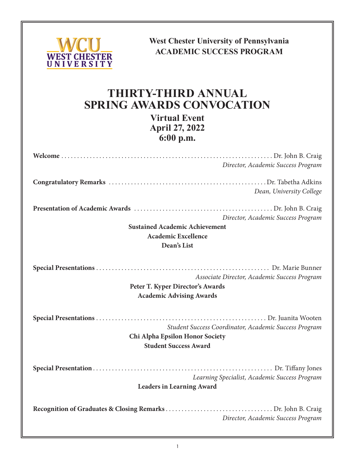

**West Chester University of Pennsylvania ACADEMIC SUCCESS PROGRAM**

# **THIRTY-THIRD ANNUAL SPRING AWARDS CONVOCATION**

**Virtual Event April 27, 2022 6:00 p.m.**

| Director, Academic Success Program                                                                                       |
|--------------------------------------------------------------------------------------------------------------------------|
| Dean, University College                                                                                                 |
| Director, Academic Success Program<br><b>Sustained Academic Achievement</b>                                              |
| <b>Academic Excellence</b><br>Dean's List                                                                                |
| Associate Director, Academic Success Program<br>Peter T. Kyper Director's Awards<br><b>Academic Advising Awards</b>      |
| Student Success Coordinator, Academic Success Program<br>Chi Alpha Epsilon Honor Society<br><b>Student Success Award</b> |
| Learning Specialist, Academic Success Program<br><b>Leaders in Learning Award</b>                                        |
| Director, Academic Success Program                                                                                       |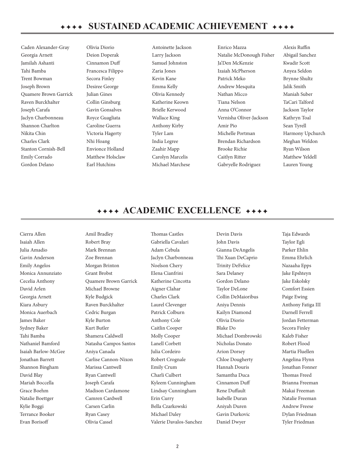Caden Alexander-Gray Georgia Arnett Jamilah Ashanti Tahi Bamba Trent Bowman Joseph Brown Quamere Brown Garrick Raven Burckhalter Joseph Carafa Jaclyn Charbonneau Shannon Charlton Nikita Chin Charles Clark Stanton Cornish-Bell Emily Corrado Gordon Delano

Olivia Diorio Deion Doperak Cinnamon Duff Francesca Filippo Secora Finley Desiree George Julian Gines Collin Ginsburg Gavin Gonsalves Royce Guagliata Caroline Guerra Victoria Hagerty Nhi Hoang Envionce Holland Matthew Holsclaw Earl Hutchins

Antoinette Jackson Larry Jackson Samuel Johnston Zaria Jones Kevin Kane Emma Kelly Olivia Kennedy Katherine Keown Brielle Kerwood Wallace King Anthony Kirby Tyler Lam India Legree Zaahir Mapp Carolyn Marcelis Michael Marchese

Enrico Mazza Natalie McDonough Fisher Ja'Den McKenzie Izaiah McPherson Patrick Meko Andrew Mesquita Nathan Micco Tiana Nelson Anna O'Connor Vernisha Oliver-Jackson Amir Pio Michelle Portman Brendan Richardson Brooke Richie Caitlyn Ritter Gabryelle Rodriguez

Alexis Ruffin Abigail Sanchez Kwadir Scott Anyea Seldon Brynne Shultz Jalik Smith Maniah Suber TaCari Talford Jackson Taylor Kathryn Toal Sean Tyrell Harmony Upchurch Meghan Weldon Ryan Wilson Matthew Yeldell Lauren Young

## **FEFFER ACADEMIC EXCELLENCE**

Cierra Allen Isaiah Allen Julia Amadio Gavin Anderson Emily Angelos Monica Annunziato Cecelia Anthony David Arlen Georgia Arnett Kiara Asbury Monica Auerbach James Baker Sydney Baker Tahi Bamba Nathaniel Bamford Isaiah Barlow-McGee Jonathan Barrett Shannon Bingham David Blay Mariah Boccella Grace Boehm Natalie Boettger Kylie Boggi Terrance Booker Evan Borisoff

Amil Bradley Robert Bray Mark Brennan Zoe Brennan Morgan Brinton Grant Brobst Quamere Brown Garrick Michael Browne Kyle Budgick Raven Burckhalter Cedric Burgan Kyle Burton Kurt Butler Shamera Caldwell Natasha Campos Santos Aniya Canada Carlise Cannon-Nixon Marissa Cantwell Ryan Cantwell Joseph Carafa Madison Cardamone Camren Cardwell Carsen Carlin Ryan Casey Olivia Cassel

Thomas Castles Gabriella Cavalari Adam Cebula Jaclyn Charbonneau Noelson Chery Elena Cianfrini Katherine Cincotta Aigner Clahar Charles Clark Laurel Clevenger Patrick Colburn Anthony Cole Caitlin Cooper Molly Cooper Lanell Corbett Julia Cordeiro Robert Crognale Emily Crum Charli Culbert Kyleem Cunningham Lindsay Cunningham Erin Curry Bella Czarkowski Michael Daley Valerie Davalos-Sanchez Devin Davis John Davis Gianna DeAngelis Thi Xuan DeCaprio Trinity DeFelice Sara Delaney Gordon Delano Taylor DeLone Collin DeMaioribus Aniya Dennis Kailyn Diamond Olivia Diorio Blake Do Michael Dombrowski Nicholas Donato Arion Dorsey Chloe Dougherty Hannah Douris Samantha Duca Cinnamon Duff Rene Duffault Isabelle Duran Aniyah Duren Gavin Durkovic Daniel Dwyer

Taja Edwards Taylor Egli Parker Ehlin Emma Ehrlich Nazaaha Epps Jake Epshteyn Jake Eskolsky Comfort Essien Paige Ewing Anthony Fatiga III Darnell Ferrell Jordan Fetterman Secora Finley Kaleb Fisher Robert Flood Martia Fluellen Angelina Flynn Jonathan Fonner Thomas Freed Brianna Freeman Makai Freeman Natalie Freeman Andrew Freese Dylan Friedman Tyler Friedman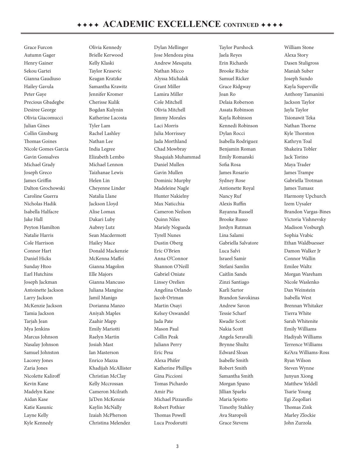Grace Furcon Autumn Gager Henry Gainer Sekou Gartei Gianna Gaudiuso Hailey Gavula Peter Gaye Precious Gbadegbe Desiree George Olivia Giacomucci Julian Gines Collin Ginsburg Thomas Goines Nicole Gomes Garcia Gavin Gonsalves Michael Grady Joseph Greco James Griffin Dalton Grochowski Caroline Guerra Nicholas Hadik Isabella Halfacre Jake Hall Peyton Hamilton Natalie Harris Cole Harrison Connor Hart Daniel Hicks Sunday Htoo Earl Hutchins Joseph Jackman Antoinette Jackson Larry Jackson McKenzie Jackson Tamia Jackson Tarjah Jean Mya Jenkins Marcus Johnson Nasalay Johnson Samuel Johnston Lacorey Jones Zaria Jones Nicolette Kaliroff Kevin Kane Madelyn Kane Aidan Kase Katie Kasunic Layne Kelly Kyle Kennedy

Olivia Kennedy Brielle Kerwood Kelly Klaski Taylor Krasevic Keagan Kratzke Samantha Krawitz Jennifer Kromer Cherisse Kulik Bogdan Kulynin Katherine Lacosta Tyler Lam Rachel Lashley Nathan Lee India Legree Elizabeth Lembo Michael Lennon Taizhanae Lewis Helen Lin Cheyenne Linder Natalia Llane Jackson Lloyd Alise Lomax Dakari Luby Aubrey Lutz Sean Macdermott Hailey Mace Donald Mackenzie McKenna Maffei Gianna Magolon Elle Majors Gianna Mancuso Juliana Mangine Jamil Manigo Dorianna Manzo Aniyah Maples Zaahir Mapp Emily Mariotti Raelyn Martin Josiah Mast Ian Masterson Enrico Mazza Khadijah McAllister Christian McClay Kelly Mccrossan Cameron Mcilrath Ja'Den McKenzie Kaylin McNally Izaiah McPherson Christina Melendez

Dylan Mellinger Jose Mendoza pina Andrew Mesquita Nathan Micco Alyssa Michalak Grant Miller Lamira Miller Cole Mitchell Olivia Mitchell Jimmy Morales Laci Morris Julia Morrissey Jada Morthland Chad Mowbray Shaquiah Muhammad Daniel Mullen Gavin Mullen Dominic Murphy Madeleine Nagle Hunter Nakielny Max Naticchia Cameron Neilson Quinn Niles Mariely Nogueda Tyrell Nunes Dustin Oberg Eric O'Brien Anna O'Connor Shannon O'Neill Gabriel Oniate Linsey Orelien Angelina Orlando Jacob Ortman Martin Osayi Kelsey Oswandel Jada Pate Mason Paul Collin Peak Juliann Perry Eric Pesa Alexa Phifer Katherine Phillips Gina Piccioni Tomas Pichardo Amir Pio Michael Pizzarello Robert Pothier Thomas Powell Luca Prodorutti

Taylor Purshock Jaela Reyes Erin Richards Brooke Richie Samuel Ricker Grace Ridgway Joan Ro Delaia Roberson Assata Robinson Kayla Robinson Kennedi Robinson Dylan Rocci Isabella Rodriguez Benjamin Roman Emily Romanski Sofia Rosa James Rosario Sydney Rose Antionette Royal Nancy Ruf Alexis Ruffin Rayanna Russell Brooke Russo Jordyn Rutman Lina Salami Gabriella Salvatore Luca Salvi Israeel Samir Stefani Samlin Caitlin Sands Zinzi Santiago Karli Sartor Brandon Savokinas Andrew Savon Tessie Scharf Kwadir Scott Nakia Scott Angela Seravalli Brynne Shultz Edward Sloan Isabelle Smith Robert Smith Samantha Smith Morgan Spano Jillian Sparks Maria Spiotto Timothy Stahley Ava Staropoli Grace Stevens

William Stone Alexa Story Dasen Stuligross Maniah Suber Joseph Sundo Kayla Superville Anthony Tamanini Jackson Taylor Jayla Taylor Tsionawit Teka Nathan Thorne Kyle Thornton Kathryn Toal Shakeira Tobler Jack Torino Maya Trader James Trampe Gabriella Trotman James Tumasz Harmony Upchurch Izem Uysaler Brandon Vargas-Bines Victoria Vishnevsky Madison Vosburgh Sophia Vrabic Ethan Waldbuesser Damon Walker Jr Connor Wallin Emilee Waltz Morgan Wareham Nicole Waslenko Dan Weinstein Isabella West Brennan Whitaker Tierra White Sarah Whitenite Emily Williams Hadiyah Williams Terrence Williams Ke'Ara Williams-Ross Ryan Wilson Steven Wynne Junyun Xiong Matthew Yeldell Tsarie Young Egi Zeqollari Thomas Zink Marley Zlockie John Zurzola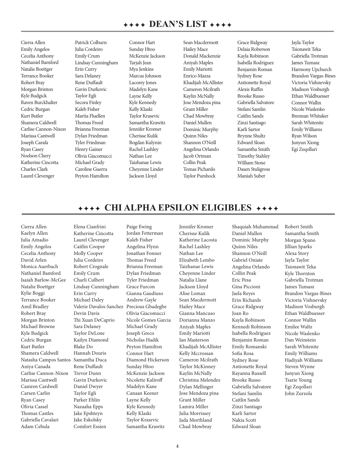## $\leftrightarrow$  +  $\leftrightarrow$  DEAN'S LIST  $\leftrightarrow$   $\leftrightarrow$

Cierra Allen Emily Angelos Cecelia Anthony Nathaniel Bamford Natalie Boettger Terrance Booker Robert Bray Morgan Brinton Kyle Budgick Raven Burckhalter Cedric Burgan Kurt Butler Shamera Caldwell Carlise Cannon-Nixon Marissa Cantwell Joseph Carafa Ryan Casey Noelson Chery Katherine Cincotta Charles Clark Laurel Clevenger

Patrick Colburn Julia Cordeiro Emily Crum Lindsay Cunningham Erin Curry Sara Delaney Rene Duffault Gavin Durkovic Taylor Egli Secora Finley Kaleb Fisher Martia Fluellen Thomas Freed Brianna Freeman Dylan Friedman Tyler Friedman Henry Gainer Olivia Giacomucci Michael Grady Caroline Guerra Peyton Hamilton

Connor Hart Sunday Htoo McKenzie Jackson Tarjah Jean Mya Jenkins Marcus Johnson Lacorey Jones Madelyn Kane Layne Kelly Kyle Kennedy Kelly Klaski Taylor Krasevic Samantha Krawitz Jennifer Kromer Cherisse Kulik Bogdan Kulynin Rachel Lashley Nathan Lee Taizhanae Lewis Cheyenne Linder Jackson Lloyd

Sean Macdermott Hailey Mace Donald Mackenzie Aniyah Maples Emily Mariotti Enrico Mazza Khadijah McAllister Cameron Mcilrath Kaylin McNally Jose Mendoza pina Grant Miller Chad Mowbray Daniel Mullen Dominic Murphy Quinn Niles Shannon O'Neill Angelina Orlando Jacob Ortman Collin Peak Tomas Pichardo Taylor Purshock

Grace Ridgway Delaia Roberson Kayla Robinson Isabella Rodriguez Benjamin Roman Sydney Rose Antionette Royal Alexis Ruffin Brooke Russo Gabriella Salvatore Stefani Samlin Caitlin Sands Zinzi Santiago Karli Sartor Brynne Shultz Edward Sloan Samantha Smith Timothy Stahley William Stone Dasen Stuligross Maniah Suber

Jayla Taylor Tsionawit Teka Gabriella Trotman James Tumasz Harmony Upchurch Brandon Vargas-Bines Victoria Vishnevsky Madison Vosburgh Ethan Waldbuesser Connor Wallin Nicole Waslenko Brennan Whitaker Sarah Whitenite Emily Williams Ryan Wilson Junyun Xiong Egi Zeqollari

## **FEFFER FIRE ALPHA EPSILON ELIGIBLES**

Cierra Allen Kaelyn Allen Julia Amadio Emily Angelos Cecelia Anthony David Arlen Monica Auerbach Nathaniel Bamford Isaiah Barlow-McGee Natalie Boettger Kylie Boggi Terrance Booker Amil Bradley Robert Bray Morgan Brinton Michael Browne Kyle Budgick Cedric Burgan Kurt Butler Shamera Caldwell Natasha Campos Santos Aniya Canada Carlise Cannon-Nixon Marissa Cantwell Camren Cardwell Carsen Carlin Ryan Casey Olivia Cassel Thomas Castles Gabriella Cavalari Adam Cebula

Elena Cianfrini Katherine Cincotta Laurel Clevenger Caitlin Cooper Molly Cooper Julia Cordeiro Robert Crognale Emily Crum Charli Culbert Lindsay Cunningham Erin Curry Michael Daley Valerie Davalos-Sanchez Precious Gbadegbe Devin Davis Thi Xuan DeCaprio Sara Delaney Taylor DeLone Kailyn Diamond Blake Do Hannah Douris Samantha Duca Rene Duffault Trevor Dunn Gavin Durkovic Daniel Dwyer Taylor Egli Parker Ehlin Nazaaha Epps Jake Epshteyn Jake Eskolsky Comfort Essien

Paige Ewing Jordan Fetterman Kaleb Fisher Angelina Flynn Jonathan Fonner Thomas Freed Brianna Freeman Dylan Friedman Tyler Friedman Grace Furcon Gianna Gaudiuso Andrew Gayle Olivia Giacomucci Nicole Gomes Garcia Michael Grady Joseph Greco Nicholas Hadik Peyton Hamilton Connor Hart Diamond Hickerson Sunday Htoo McKenzie Jackson Nicolette Kaliroff Madelyn Kane Canaan Keener Layne Kelly Kyle Kennedy Kelly Klaski Taylor Krasevic Samantha Krawitz

Jennifer Kromer Cherisse Kulik Katherine Lacosta Rachel Lashley Nathan Lee Elizabeth Lembo Taizhanae Lewis Cheyenne Linder Natalia Llane Jackson Lloyd Alise Lomax Sean Macdermott Hailey Mace Gianna Mancuso Dorianna Manzo Aniyah Maples Emily Mariotti Ian Masterson Khadijah McAllister Kelly Mccrossan Cameron Mcilrath Taylor McKinney Kaylin McNally Christina Melendez Dylan Mellinger Jose Mendoza pina Grant Miller Lamira Miller Julia Morrissey Jada Morthland Chad Mowbray

Shaquiah Muhammad Daniel Mullen Dominic Murphy Quinn Niles Shannon O'Neill Gabriel Oniate Angelina Orlando Collin Peak Eric Pesa Gina Piccioni Jaela Reyes Erin Richards Grace Ridgway Joan Ro Kayla Robinson Kennedi Robinson Isabella Rodriguez Benjamin Roman Emily Romanski Sofia Rosa Sydney Rose Antionette Royal Rayanna Russell Brooke Russo Gabriella Salvatore Stefani Samlin Caitlin Sands Zinzi Santiago Karli Sartor Nakia Scott Edward Sloan

Robert Smith Samantha Smith Morgan Spano Jillian Sparks Alexa Story Jayla Taylor Tsionawit Teka Kyle Thornton Gabriella Trotman James Tumasz Brandon Vargas-Bines Victoria Vishnevsky Madison Vosburgh Ethan Waldbuesser Connor Wallin Emilee Waltz Nicole Waslenko Dan Weinstein Sarah Whitenite Emily Williams Hadiyah Williams Steven Wynne Junyun Xiong Tsarie Young Egi Zeqollari John Zurzola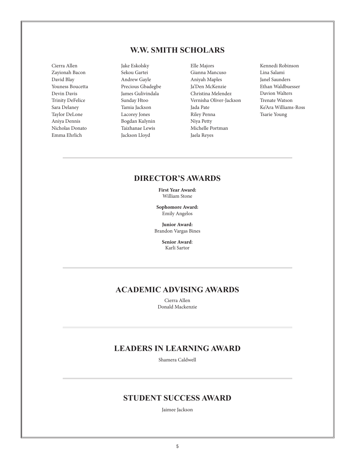## **W.W. SMITH SCHOLARS**

Cierra Allen Zayionah Bacon David Blay Youness Boucetta Devin Davis Trinity DeFelice Sara Delaney Taylor DeLone Aniya Dennis Nicholas Donato Emma Ehrlich

Jake Eskolsky Sekou Gartei Andrew Gayle Precious Gbadegbe James Gulivindala Sunday Htoo Tamia Jackson Lacorey Jones Bogdan Kulynin Taizhanae Lewis Jackson Lloyd

Elle Majors Gianna Mancuso Aniyah Maples Ja'Den McKenzie Christina Melendez Vernisha Oliver-Jackson Jada Pate Riley Penna Niya Petty Michelle Portman Jaela Reyes

Kennedi Robinson Lina Salami Janel Saunders Ethan Waldbuesser Davion Walters Trenate Watson Ke'Ara Williams-Ross Tsarie Young

### **DIRECTOR'S AWARDS**

**First Year Award:** William Stone

**Sophomore Award:** Emily Angelos

**Junior Award:** Brandon Vargas Bines

> **Senior Award**: Karli Sartor

## **ACADEMIC ADVISING AWARDS**

Cierra Allen Donald Mackenzie

## **LEADERS IN LEARNING AWARD**

Shamera Caldwell

### **STUDENT SUCCESS AWARD**

Jaimee Jackson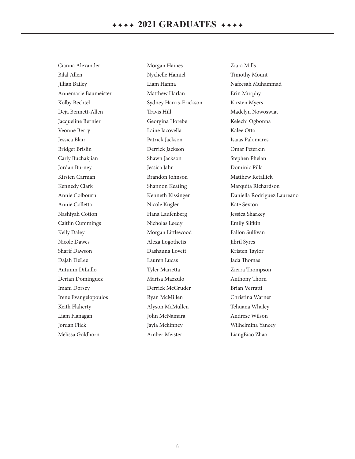Cianna Alexander Bilal Allen Jillian Bailey Annemarie Baumeister Kolby Bechtel Deja Bennett-Allen Jacqueline Bernier Veonne Berry Jessica Blair Bridget Brislin Carly Buchakjian Jordan Burney Kirsten Carman Kennedy Clark Annie Colbourn Annie Colletta Nashiyah Cotton Caitlin Cummings Kelly Daley Nicole Dawes Sharif Dawson Dajah DeLee Autumn DiLullo Derian Dominguez Imani Dorsey Irene Evangelopoulos Keith Flaherty Liam Flanagan Jordan Flick Melissa Goldhorn

Morgan Haines Nychelle Hamiel Liam Hanna Matthew Harlan Sydney Harris-Erickson Travis Hill Georgina Horebe Laine Iacovella Patrick Jackson Derrick Jackson Shawn Jackson Jessica Jahr Brandon Johnson Shannon Keating Kenneth Kissinger Nicole Kugler Hana Laufenberg Nicholas Leedy Morgan Littlewood Alexa Logothetis Dashauna Lovett Lauren Lucas Tyler Marietta Marisa Mazzulo Derrick McGruder Ryan McMillen Alyson McMullen John McNamara Jayla Mckinney Amber Meister

Ziara Mills Timothy Mount Nafeesah Muhammad Erin Murphy Kirsten Myers Madelyn Nowoswiat Kelechi Ogbonna Kalee Otto Isaias Palomares Omar Peterkin Stephen Phelan Dominic Pilla Matthew Retallick Marquita Richardson Daniella Rodriguez Laureano Kate Sexton Jessica Sharkey Emily Slifkin Fallon Sullivan Jibril Syres Kristen Taylor Jada Thomas Zierra Thompson Anthony Thorn Brian Verratti Christina Warner Tehuana Whaley Andrese Wilson Wilhelmina Yancey LiangBiao Zhao